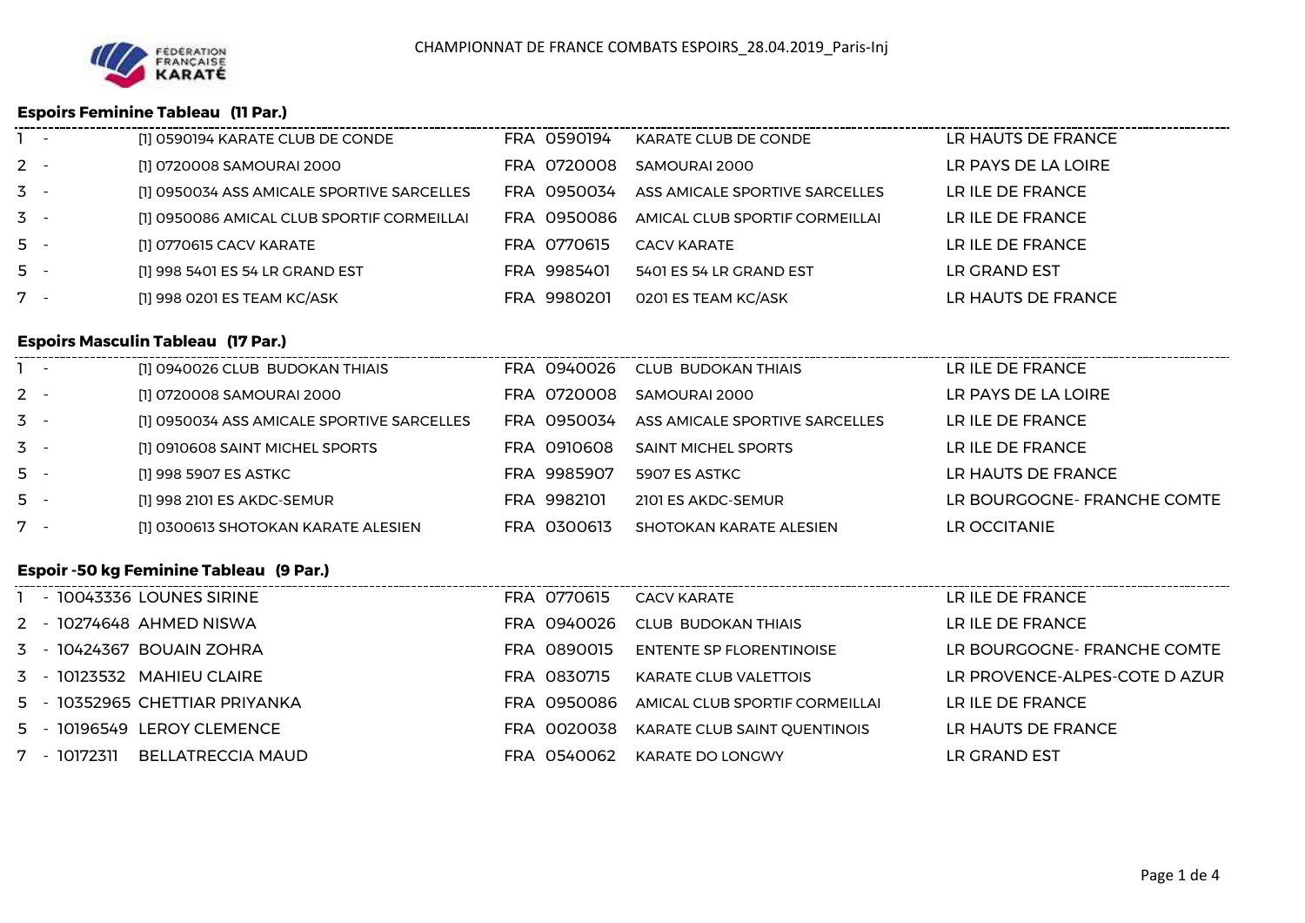

### **Espoirs Feminine Tableau (11 Par.)**

| $\sim$ $-$ | [1] 0590194 KARATE CLUB DE CONDE           | FRA 0590194 | KARATE CLUB DE CONDE           | LR HAUTS DE FRANCE  |
|------------|--------------------------------------------|-------------|--------------------------------|---------------------|
| $2 -$      | [1] 0720008 SAMOURAI 2000                  | FRA 0720008 | SAMOURAI 2000                  | LR PAYS DE LA LOIRE |
| $3 -$      | [1] 0950034 ASS AMICALE SPORTIVE SARCELLES | FRA 0950034 | ASS AMICALE SPORTIVE SARCELLES | LR ILE DE FRANCE    |
| $3 -$      | [1] 0950086 AMICAL CLUB SPORTIF CORMEILLAI | FRA 0950086 | AMICAL CLUB SPORTIF CORMEILLAI | LR ILE DE FRANCE    |
| $5 -$      | [1] 0770615 CACV KARATE                    | FRA 0770615 | <b>CACV KARATE</b>             | LR ILE DE FRANCE    |
| $5 -$      | [1] 998 5401 ES 54 LR GRAND EST            | FRA 9985401 | 5401 ES 54 LR GRAND EST        | LR GRAND EST        |
| $7 -$      | [1] 998 0201 ES TEAM KC/ASK                | FRA 9980201 | 0201 ES TEAM KC/ASK            | LR HAUTS DE FRANCE  |
|            |                                            |             |                                |                     |

## **Espoirs Masculin Tableau (17 Par.)**

| $\sim$ | [1] 0940026 CLUB BUDOKAN THIAIS            | FRA 0940026 | CLUB BUDOKAN THIAIS            | LR ILE DE FRANCE           |
|--------|--------------------------------------------|-------------|--------------------------------|----------------------------|
| $2 -$  | [1] 0720008 SAMOURAI 2000                  | FRA 0720008 | SAMOURAI 2000                  | LR PAYS DE LA LOIRE        |
| $3 -$  | [1] 0950034 ASS AMICALE SPORTIVE SARCELLES | FRA 0950034 | ASS AMICALE SPORTIVE SARCELLES | LR ILE DE FRANCE           |
| $3 -$  | [1] 0910608 SAINT MICHEL SPORTS            | FRA 0910608 | <b>SAINT MICHEL SPORTS</b>     | LR ILE DE FRANCE           |
| $5 -$  | [1] 998 5907 ES ASTKC                      | FRA 9985907 | 5907 ES ASTKC                  | LR HAUTS DE FRANCE         |
| $5 -$  | [1] 998 2101 ES AKDC-SEMUR                 | FRA 9982101 | 2101 ES AKDC-SEMUR             | LR BOURGOGNE-FRANCHE COMTE |
| $7 -$  | [1] 0300613 SHOTOKAN KARATE ALESIEN        | FRA 0300613 | SHOTOKAN KARATE ALESIEN        | LR OCCITANIE               |

## **Espoir -50 kg Feminine Tableau (9 Par.)**

| 1 - 10043336 LOUNES SIRINE               | FRA 0770615 | CACV KARATE                                | LR ILE DE FRANCE              |
|------------------------------------------|-------------|--------------------------------------------|-------------------------------|
| 2 - 10274648 AHMED NISWA                 |             | FRA 0940026 CIUB BUDOKAN THIAIS            | LR ILE DE FRANCE              |
| 3 - 10424367 BOUAIN ZOHRA                | FRA 0890015 | ENTENTE SP FLORENTINOISE                   | LR BOURGOGNE-FRANCHE COMTE    |
| 3 - 10123532 MAHIEU CLAIRE               | FRA 0830715 | KARATE CLUB VALETTOIS                      | LR PROVENCE-ALPES-COTE D AZUR |
| 5 - 10352965 CHETTIAR PRIYANKA           |             | FRA 0950086 AMICAL CLUB SPORTIF CORMEILLAI | LR ILE DE FRANCE              |
| 5 - 10196549 LEROY CLEMENCE              | FRA 0020038 | KARATE CLUB SAINT QUENTINOIS               | LR HAUTS DE FRANCE            |
| <b>BELLATRECCIA MAUD</b><br>7 - 10172311 | FRA 0540062 | KARATE DO LONGWY                           | LR GRAND EST                  |
|                                          |             |                                            |                               |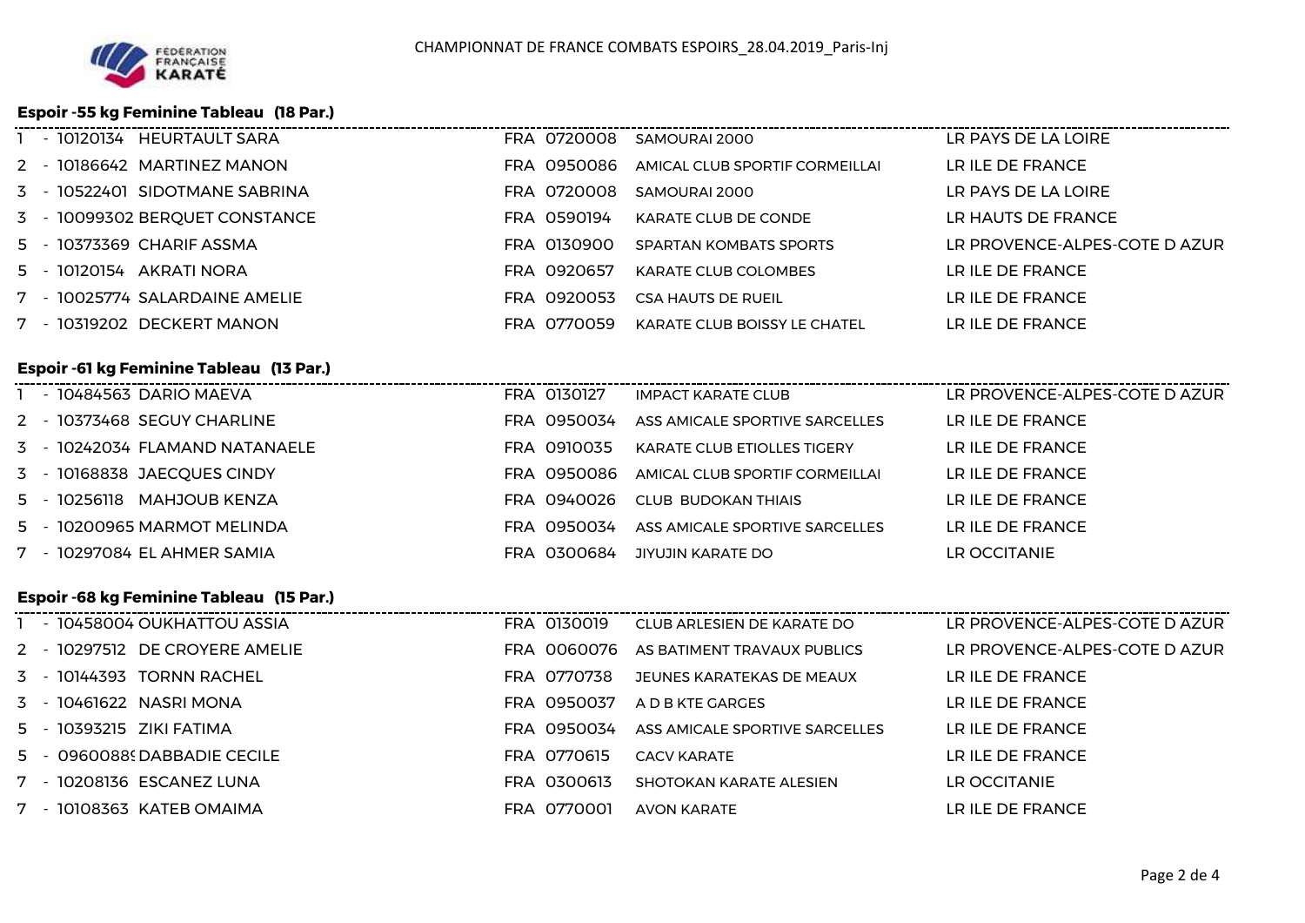### **Espoir -55 kg Feminine Tableau (18 Par.)**

|  | - 10120134 HEURTAULT SARA      |             | FRA 0720008 SAMOURAI 2000      | LR PAYS DE LA LOIRE           |
|--|--------------------------------|-------------|--------------------------------|-------------------------------|
|  | 2 - 10186642 MARTINEZ MANON    | FRA 0950086 | AMICAL CLUB SPORTIF CORMEILLAI | LR ILE DE FRANCE              |
|  | 3 - 10522401 SIDOTMANE SABRINA | FRA 0720008 | SAMOURAL2000                   | LR PAYS DE LA LOIRE           |
|  | 3 - 10099302 BERQUET CONSTANCE | FRA 0590194 | KARATE CLUB DE CONDE           | LR HAUTS DE FRANCE            |
|  | 5 - 10373369 CHARIF ASSMA      | FRA 0130900 | SPARTAN KOMBATS SPORTS         | LR PROVENCE-ALPES-COTE D AZUR |
|  | 5 - 10120154 AKRATI NORA       | FRA 0920657 | KARATE CLUB COLOMBES           | LR ILE DE FRANCE              |
|  | 7 - 10025774 SALARDAINE AMELIE | FRA 0920053 | CSA HAUTS DE RUEIL             | LR ILE DE FRANCE              |
|  | 7 - 10319202 DECKERT MANON     | FRA 0770059 | KARATE CLUB BOISSY LE CHATEL   | LR ILE DE FRANCE              |
|  |                                |             |                                |                               |

## **Espoir -61 kg Feminine Tableau (13 Par.)**

| - 10484563 DARIO MAEVA         | FRA 0130127 | <b>IMPACT KARATE CLUB</b>          | LR PROVENCE-ALPES-COTE D AZUR |
|--------------------------------|-------------|------------------------------------|-------------------------------|
| 2 - 10373468 SEGUY CHARLINE    | FRA 0950034 | ASS AMICALE SPORTIVE SARCELLES     | LR ILE DE FRANCE              |
| 3 - 10242034 FLAMAND NATANAELE | FRA 0910035 | <b>KARATE CLUB ETIOLLES TIGERY</b> | LR ILE DE FRANCE              |
| 3 - 10168838 JAECQUES CINDY    | FRA 0950086 | AMICAL CLUB SPORTIF CORMEILLAI     | LR ILE DE FRANCE              |
| MAHJOUB KENZA<br>5 - 10256118  | FRA 0940026 | CLUB BUDOKAN THIAIS                | LR ILE DE FRANCE              |
| 5 - 10200965 MARMOT MELINDA    | FRA 0950034 | ASS AMICALE SPORTIVE SARCELLES     | LR ILE DE FRANCE              |
| 7 - 10297084 EL AHMER SAMIA    | FRA 0300684 | JIYUJIN KARATE DO                  | LR OCCITANIE                  |

### **Espoir -68 kg Feminine Tableau (15 Par.)**

| - 10458004 OUKHATTOU ASSIA<br>LR PROVENCE-ALPES-COTE D AZUR<br>FRA 0130019<br>CLUB ARLESIEN DE KARATE DO      |  |
|---------------------------------------------------------------------------------------------------------------|--|
| 2 - 10297512 DE CROYERE AMELIE<br>LR PROVENCE-ALPES-COTE D AZUR<br>FRA 0060076<br>AS BATIMENT TRAVAUX PUBLICS |  |
| 3 - 10144393 TORNN RACHEL<br>LR ILE DE FRANCE<br>FRA 0770738<br>JEUNES KARATEKAS DE MEAUX                     |  |
| 3 - 10461622 NASRI MONA<br>LR ILE DE FRANCE<br>FRA 0950037<br>A D B KTF GARGES                                |  |
| 5 - 10393215 ZIKI FATIMA<br>LR ILE DE FRANCE<br>FRA 0950034<br>ASS AMICALE SPORTIVE SARCELLES                 |  |
| LR ILE DE FRANCE<br>5 - 09600889 DABBADIE CECILE<br>FRA 0770615<br>CACV KARATF                                |  |
| 7 - 10208136 ESCANEZ LUNA<br>FRA 0300613<br>LR OCCITANIE<br>SHOTOKAN KARATE ALESIEN                           |  |
| 7 - 10108363 KATEB OMAIMA<br>FRA 0770001<br>LR ILE DE FRANCE<br>AVON KARATF                                   |  |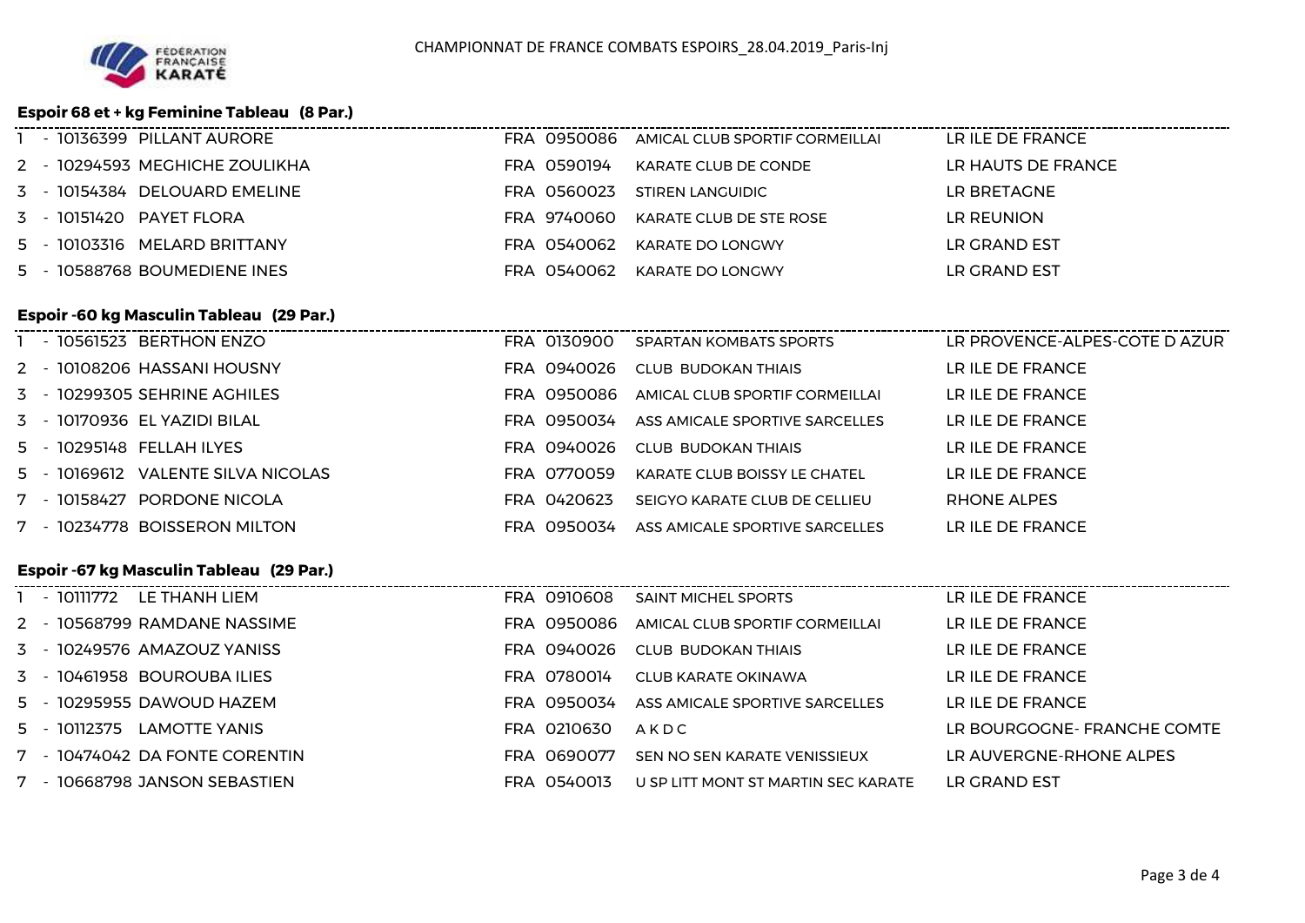

### **Espoir 68 et + kg Feminine Tableau (8 Par.)**

|  | - 10136399 PILLANT AURORE      |             | FRA 0950086 AMICAL CLUB SPORTIF CORMEILLAI | LR ILE DE FRANCE   |
|--|--------------------------------|-------------|--------------------------------------------|--------------------|
|  | 2 - 10294593 MEGHICHE ZOULIKHA | FRA 0590194 | KARATE CLUB DE CONDE                       | LR HAUTS DE FRANCE |
|  | 3 - 10154384 DELOUARD EMELINE  | FRA 0560023 | STIREN LANGUIDIC                           | LR BRETAGNE        |
|  | 3 - 10151420 PAYET FLORA       | FRA 9740060 | KARATE CLUB DE STE ROSE                    | LR REUNION         |
|  | 5 - 10103316 MELARD BRITTANY   | FRA 0540062 | KARATE DO LONGWY                           | LR GRAND EST       |
|  | 5 - 10588768 BOUMEDIENE INES   | FRA 0540062 | KARATE DO LONGWY                           | LR GRAND EST       |
|  |                                |             |                                            |                    |

# **Espoir -60 kg Masculin Tableau (29 Par.)**

| - 10561523 BERTHON ENZO            | FRA 0130900 | SPARTAN KOMBATS SPORTS         | LR PROVENCE-ALPES-COTE D AZUR |
|------------------------------------|-------------|--------------------------------|-------------------------------|
| 2 - 10108206 HASSANI HOUSNY        | FRA 0940026 | CLUB BUDOKAN THIAIS            | LR ILE DE FRANCE              |
| 3 - 10299305 SEHRINE AGHILES       | FRA 0950086 | AMICAL CLUB SPORTIF CORMEILLAI | LR ILE DE FRANCE              |
| 3 - 10170936 EL YAZIDI BILAL       | FRA 0950034 | ASS AMICALE SPORTIVE SARCELLES | LR ILE DE FRANCE              |
| 5 - 10295148 FELLAH ILYES          | FRA 0940026 | CLUB BUDOKAN THIAIS            | LR ILE DE FRANCE              |
| 5 - 10169612 VALENTE SILVA NICOLAS | FRA 0770059 | KARATE CLUB BOISSY LE CHATEL   | LR ILE DE FRANCE              |
| 7 - 10158427 PORDONE NICOLA        | FRA 0420623 | SEIGYO KARATE CLUB DE CELLIEU  | RHONE ALPES                   |
| 7 - 10234778 BOISSERON MILTON      | FRA 0950034 | ASS AMICALE SPORTIVE SARCELLES | LR ILE DE FRANCE              |
|                                    |             |                                |                               |

# **Espoir -67 kg Masculin Tableau (29 Par.)**

| - 10111772<br>LE THANH LIEM    | FRA 0910608 | <b>SAINT MICHEL SPORTS</b>          | LR ILE DE FRANCE           |
|--------------------------------|-------------|-------------------------------------|----------------------------|
| 2 - 10568799 RAMDANE NASSIME   | FRA 0950086 | AMICAL CLUB SPORTIF CORMEILLAI      | LR ILE DE FRANCE           |
| 3 - 10249576 AMAZOUZ YANISS    | FRA 0940026 | CLUB BUDOKAN THIAIS                 | LR ILE DE FRANCE           |
| 3 - 10461958 BOUROUBA ILIES    | FRA 0780014 | CLUB KARATE OKINAWA                 | LR ILE DE FRANCE           |
| 5 - 10295955 DAWOUD HAZEM      | FRA 0950034 | ASS AMICALE SPORTIVE SARCELLES      | LR ILE DE FRANCE           |
| LAMOTTE YANIS<br>5 - 10112375  | FRA 0210630 | AKDC                                | LR BOURGOGNE-FRANCHE COMTE |
| 7 - 10474042 DA FONTE CORENTIN | FRA 0690077 | SEN NO SEN KARATE VENISSIEUX        | LR AUVERGNE-RHONE ALPES    |
| 7 - 10668798 JANSON SEBASTIEN  | FRA 0540013 | U SP LITT MONT ST MARTIN SEC KARATE | LR GRAND EST               |
|                                |             |                                     |                            |